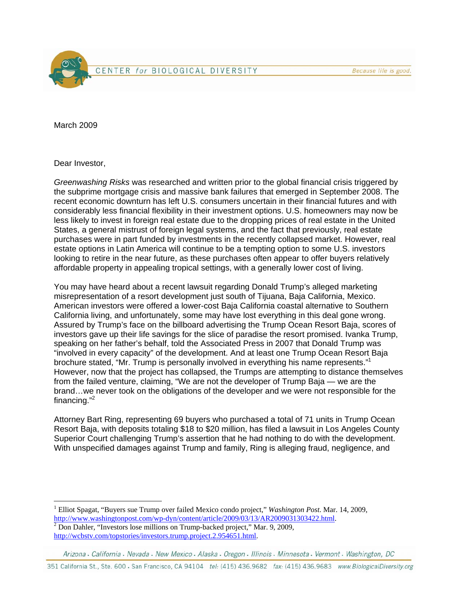

March 2009

Dear Investor,

 $\overline{a}$ 

*Greenwashing Risks* was researched and written prior to the global financial crisis triggered by the subprime mortgage crisis and massive bank failures that emerged in September 2008. The recent economic downturn has left U.S. consumers uncertain in their financial futures and with considerably less financial flexibility in their investment options. U.S. homeowners may now be less likely to invest in foreign real estate due to the dropping prices of real estate in the United States, a general mistrust of foreign legal systems, and the fact that previously, real estate purchases were in part funded by investments in the recently collapsed market. However, real estate options in Latin America will continue to be a tempting option to some U.S. investors looking to retire in the near future, as these purchases often appear to offer buyers relatively affordable property in appealing tropical settings, with a generally lower cost of living.

You may have heard about a recent lawsuit regarding Donald Trump's alleged marketing misrepresentation of a resort development just south of Tijuana, Baja California, Mexico. American investors were offered a lower-cost Baja California coastal alternative to Southern California living, and unfortunately, some may have lost everything in this deal gone wrong. Assured by Trump's face on the billboard advertising the Trump Ocean Resort Baja, scores of investors gave up their life savings for the slice of paradise the resort promised. Ivanka Trump, speaking on her father's behalf, told the Associated Press in 2007 that Donald Trump was "involved in every capacity" of the development. And at least one Trump Ocean Resort Baja brochure stated, "Mr. Trump is personally involved in everything his name represents."1 However, now that the project has collapsed, the Trumps are attempting to distance themselves from the failed venture, claiming, "We are not the developer of Trump Baja — we are the brand…we never took on the obligations of the developer and we were not responsible for the financing."2

Attorney Bart Ring, representing 69 buyers who purchased a total of 71 units in Trump Ocean Resort Baja, with deposits totaling \$18 to \$20 million, has filed a lawsuit in Los Angeles County Superior Court challenging Trump's assertion that he had nothing to do with the development. With unspecified damages against Trump and family, Ring is alleging fraud, negligence, and

<sup>1</sup> Elliot Spagat, "Buyers sue Trump over failed Mexico condo project," *Washington Post*. Mar. 14, 2009, http://www.washingtonpost.com/wp-dyn/content/article/2009/03/13/AR2009031303422.html. 2

 $\frac{1}{2}$  Don Dahler, "Investors lose millions on Trump-backed project," Mar. 9, 2009, http://wcbstv.com/topstories/investors.trump.project.2.954651.html.

Arizona · California · Nevada · New Mexico · Alaska · Oregon · Illinois · Minnesota · Vermont · Washington, DC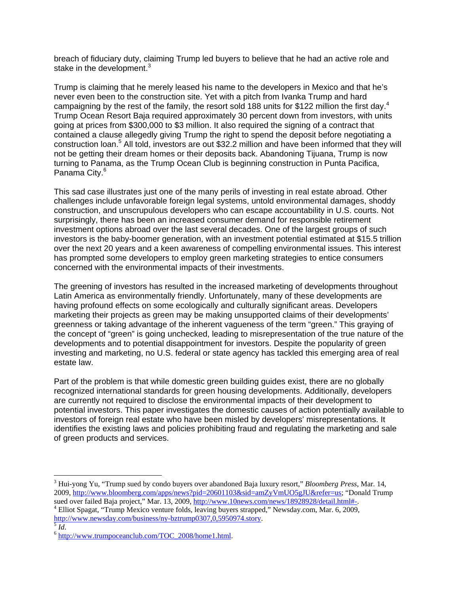breach of fiduciary duty, claiming Trump led buyers to believe that he had an active role and stake in the development. $3$ 

Trump is claiming that he merely leased his name to the developers in Mexico and that he's never even been to the construction site. Yet with a pitch from Ivanka Trump and hard campaigning by the rest of the family, the resort sold 188 units for \$122 million the first day.<sup>4</sup> Trump Ocean Resort Baja required approximately 30 percent down from investors, with units going at prices from \$300,000 to \$3 million. It also required the signing of a contract that contained a clause allegedly giving Trump the right to spend the deposit before negotiating a construction loan.<sup>5</sup> All told, investors are out \$32.2 million and have been informed that they will not be getting their dream homes or their deposits back. Abandoning Tijuana, Trump is now turning to Panama, as the Trump Ocean Club is beginning construction in Punta Pacifica, Panama City.<sup>6</sup>

This sad case illustrates just one of the many perils of investing in real estate abroad. Other challenges include unfavorable foreign legal systems, untold environmental damages, shoddy construction, and unscrupulous developers who can escape accountability in U.S. courts. Not surprisingly, there has been an increased consumer demand for responsible retirement investment options abroad over the last several decades. One of the largest groups of such investors is the baby-boomer generation, with an investment potential estimated at \$15.5 trillion over the next 20 years and a keen awareness of compelling environmental issues. This interest has prompted some developers to employ green marketing strategies to entice consumers concerned with the environmental impacts of their investments.

The greening of investors has resulted in the increased marketing of developments throughout Latin America as environmentally friendly. Unfortunately, many of these developments are having profound effects on some ecologically and culturally significant areas. Developers marketing their projects as green may be making unsupported claims of their developments' greenness or taking advantage of the inherent vagueness of the term "green." This graying of the concept of "green" is going unchecked, leading to misrepresentation of the true nature of the developments and to potential disappointment for investors. Despite the popularity of green investing and marketing, no U.S. federal or state agency has tackled this emerging area of real estate law.

Part of the problem is that while domestic green building guides exist, there are no globally recognized international standards for green housing developments. Additionally, developers are currently not required to disclose the environmental impacts of their development to potential investors. This paper investigates the domestic causes of action potentially available to investors of foreign real estate who have been misled by developers' misrepresentations. It identifies the existing laws and policies prohibiting fraud and regulating the marketing and sale of green products and services.

 $\overline{a}$ 

<sup>3</sup> Hui-yong Yu, "Trump sued by condo buyers over abandoned Baja luxury resort," *Bloomberg Press*, Mar. 14, 2009, http://www.bloomberg.com/apps/news?pid=20601103&sid=amZyVmUO5gJU&refer=us; "Donald Trump sued over failed Baja project," Mar. 13, 2009, http://www.10news.com/news/18928928/detail.html#-.

Elliot Spagat, "Trump Mexico venture folds, leaving buyers strapped," Newsday.com, Mar. 6, 2009, http://www.newsday.com/business/ny-bztrump0307,0,5950974.story.<br>
<sup>5</sup> *Id*. 6 http://www.trumpoceanclub.com/TOC\_2008/home1.html.